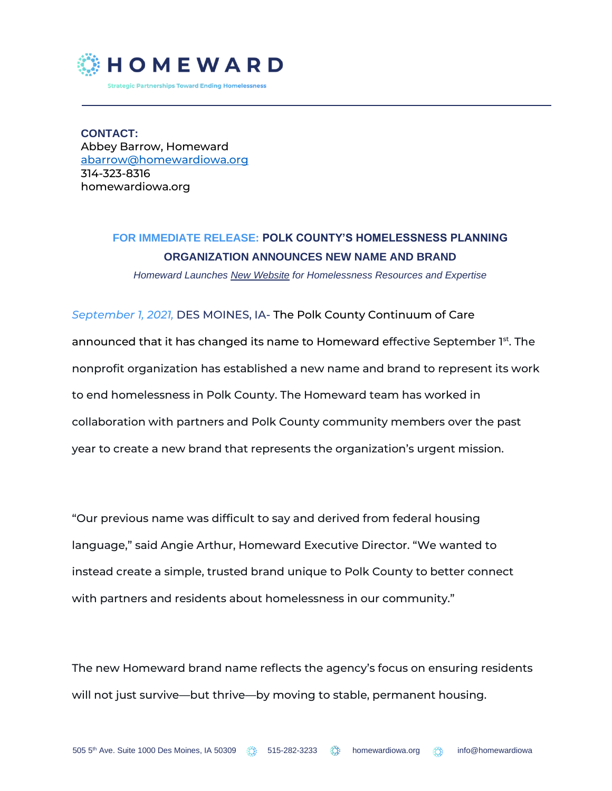

**CONTACT:** Abbey Barrow, Homeward [abarrow@homewardiowa.org](mailto:abarrow@homewardiowa.org) 314-323-8316 homewardiowa.org

## **FOR IMMEDIATE RELEASE: POLK COUNTY'S HOMELESSNESS PLANNING ORGANIZATION ANNOUNCES NEW NAME AND BRAND**

CONTACT

*Homeward Launches [New Website](file:///C:/Users/abarrow/AppData/Local/Microsoft/Windows/INetCache/Content.Outlook/MUD75VDO/homewardiowa.org) for Homelessness Resources and Expertise*

## *September 1, 2021,* DES MOINES, IA- The Polk County Continuum of Care

announced that it has changed its name to Homeward effective September 1st. The nonprofit organization has established a new name and brand to represent its work to end homelessness in Polk County. The Homeward team has worked in collaboration with partners and Polk County community members over the past year to create a new brand that represents the organization's urgent mission.

"Our previous name was difficult to say and derived from federal housing language," said Angie Arthur, Homeward Executive Director. "We wanted to instead create a simple, trusted brand unique to Polk County to better connect with partners and residents about homelessness in our community."

The new Homeward brand name reflects the agency's focus on ensuring residents will not just survive—but thrive—by moving to stable, permanent housing.